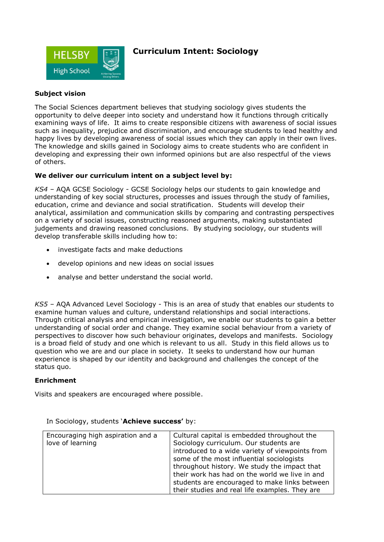

## **Curriculum Intent: Sociology**

### **Subject vision**

The Social Sciences department believes that studying sociology gives students the opportunity to delve deeper into society and understand how it functions through critically examining ways of life. It aims to create responsible citizens with awareness of social issues such as inequality, prejudice and discrimination, and encourage students to lead healthy and happy lives by developing awareness of social issues which they can apply in their own lives. The knowledge and skills gained in Sociology aims to create students who are confident in developing and expressing their own informed opinions but are also respectful of the views of others.

#### **We deliver our curriculum intent on a subject level by:**

*KS4 –* AQA GCSE Sociology *-* GCSE Sociology helps our students to gain knowledge and understanding of key social structures, processes and issues through the study of families, education, crime and deviance and social stratification. Students will develop their analytical, assimilation and communication skills by comparing and contrasting perspectives on a variety of social issues, constructing reasoned arguments, making substantiated judgements and drawing reasoned conclusions. By studying sociology, our students will develop transferable skills including how to:

- investigate facts and make deductions
- develop opinions and new ideas on social issues
- analyse and better understand the social world.

*KS5 –* AQA Advanced Level Sociology - This is an area of study that enables our students to examine human values and culture, understand relationships and social interactions. Through critical analysis and empirical investigation, we enable our students to gain a better understanding of social order and change. They examine social behaviour from a variety of perspectives to discover how such behaviour originates, develops and manifests. Sociology is a broad field of study and one which is relevant to us all. Study in this field allows us to question who we are and our place in society. It seeks to understand how our human experience is shaped by our identity and background and challenges the concept of the status quo.

#### **Enrichment**

Visits and speakers are encouraged where possible.

| Encouraging high aspiration and a | Cultural capital is embedded throughout the     |
|-----------------------------------|-------------------------------------------------|
| love of learning                  | Sociology curriculum. Our students are          |
|                                   | introduced to a wide variety of viewpoints from |
|                                   | some of the most influential sociologists       |
|                                   | throughout history. We study the impact that    |
|                                   | their work has had on the world we live in and  |
|                                   | students are encouraged to make links between   |
|                                   | their studies and real life examples. They are  |

In Sociology, students '**Achieve success'** by: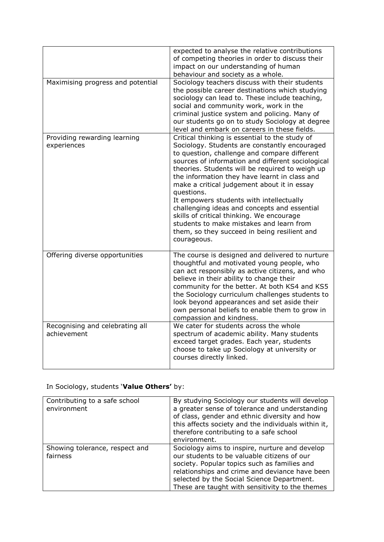|                                                | expected to analyse the relative contributions<br>of competing theories in order to discuss their<br>impact on our understanding of human<br>behaviour and society as a whole.                                                                                                                                                                                                                                                                                                                                                                                                                                            |
|------------------------------------------------|---------------------------------------------------------------------------------------------------------------------------------------------------------------------------------------------------------------------------------------------------------------------------------------------------------------------------------------------------------------------------------------------------------------------------------------------------------------------------------------------------------------------------------------------------------------------------------------------------------------------------|
| Maximising progress and potential              | Sociology teachers discuss with their students<br>the possible career destinations which studying<br>sociology can lead to. These include teaching,<br>social and community work, work in the<br>criminal justice system and policing. Many of<br>our students go on to study Sociology at degree<br>level and embark on careers in these fields.                                                                                                                                                                                                                                                                         |
| Providing rewarding learning<br>experiences    | Critical thinking is essential to the study of<br>Sociology. Students are constantly encouraged<br>to question, challenge and compare different<br>sources of information and different sociological<br>theories. Students will be required to weigh up<br>the information they have learnt in class and<br>make a critical judgement about it in essay<br>questions.<br>It empowers students with intellectually<br>challenging ideas and concepts and essential<br>skills of critical thinking. We encourage<br>students to make mistakes and learn from<br>them, so they succeed in being resilient and<br>courageous. |
| Offering diverse opportunities                 | The course is designed and delivered to nurture<br>thoughtful and motivated young people, who<br>can act responsibly as active citizens, and who<br>believe in their ability to change their<br>community for the better. At both KS4 and KS5<br>the Sociology curriculum challenges students to<br>look beyond appearances and set aside their<br>own personal beliefs to enable them to grow in<br>compassion and kindness.                                                                                                                                                                                             |
| Recognising and celebrating all<br>achievement | We cater for students across the whole<br>spectrum of academic ability. Many students<br>exceed target grades. Each year, students<br>choose to take up Sociology at university or<br>courses directly linked.                                                                                                                                                                                                                                                                                                                                                                                                            |

# In Sociology, students '**Value Others'** by:

| Contributing to a safe school<br>environment | By studying Sociology our students will develop<br>a greater sense of tolerance and understanding<br>of class, gender and ethnic diversity and how<br>this affects society and the individuals within it,<br>therefore contributing to a safe school<br>environment.                             |
|----------------------------------------------|--------------------------------------------------------------------------------------------------------------------------------------------------------------------------------------------------------------------------------------------------------------------------------------------------|
| Showing tolerance, respect and<br>fairness   | Sociology aims to inspire, nurture and develop<br>our students to be valuable citizens of our<br>society. Popular topics such as families and<br>relationships and crime and deviance have been<br>selected by the Social Science Department.<br>These are taught with sensitivity to the themes |